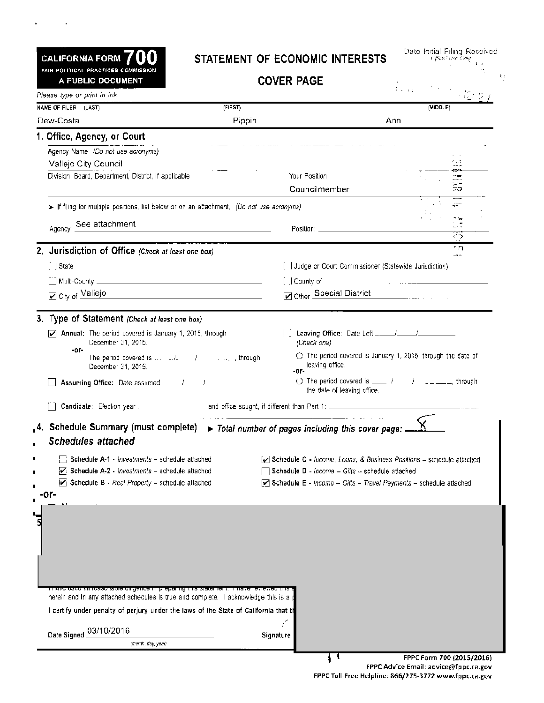FAIR POLITICAL PRACTICES COMMISSION A PUBLIC DOCUMENT

Please type or print in ink.

 $\mathbf{a}^{\prime}$ 

 $\sim 100$  km  $^{-1}$ 

### CALIFORNIA FORM 700 STATEMENT OF ECONOMIC INTERESTS

Date Initial Filing Received.<br>می*ختا*نه *offlast Dee* 

 $\mathcal{I}$  ,

| <b>COVER PAGE</b> |  |
|-------------------|--|
|-------------------|--|

. I. III. III. <u>ISBN</u>

| NAME OF FILER (LAST)                                                                                         | (FIRST)                                                                              |                                                                                                                                               | (MIDDLE)                                                                      |
|--------------------------------------------------------------------------------------------------------------|--------------------------------------------------------------------------------------|-----------------------------------------------------------------------------------------------------------------------------------------------|-------------------------------------------------------------------------------|
| Dew-Costa                                                                                                    | Pippin                                                                               | Ann                                                                                                                                           |                                                                               |
| 1. Office, Agency, or Court                                                                                  |                                                                                      |                                                                                                                                               |                                                                               |
| Agency Name (Do not use acronyms)                                                                            |                                                                                      |                                                                                                                                               |                                                                               |
| Vallejo City Council                                                                                         |                                                                                      |                                                                                                                                               |                                                                               |
| Division, Board, Department, District, if applicable                                                         |                                                                                      | Your Position                                                                                                                                 |                                                                               |
|                                                                                                              |                                                                                      | Councilmember                                                                                                                                 | E.                                                                            |
| > If filing for multiple positions, list below or on an attachment. (Do not use acronyms)                    |                                                                                      |                                                                                                                                               |                                                                               |
| Agency: See attachment                                                                                       | <u> 1989 - Johann Stein, mars an deus an deus Amerikaansk kommunister (</u>          |                                                                                                                                               |                                                                               |
|                                                                                                              |                                                                                      |                                                                                                                                               | $\langle \cdot \rangle$                                                       |
| 2. Jurisdiction of Office (Check at least one box)                                                           |                                                                                      |                                                                                                                                               | ٠n<br>-                                                                       |
| $\int$ State                                                                                                 |                                                                                      | [ ] Judge or Court Commissioner (Statewide Jurisdiction)                                                                                      |                                                                               |
|                                                                                                              |                                                                                      | [ ] County of                                                                                                                                 |                                                                               |
| Discrimination of Vallejo                                                                                    |                                                                                      | Other Special District                                                                                                                        | $\frac{1}{2}$ . The contract of $\frac{1}{2}$ . The contract of $\frac{1}{2}$ |
|                                                                                                              |                                                                                      |                                                                                                                                               |                                                                               |
| 3. Type of Statement (Check at least one box)                                                                |                                                                                      |                                                                                                                                               |                                                                               |
| $\triangleright$ Annual: The period covered is January 1, 2015, through<br>December 31, 2015.                |                                                                                      | (Check one)                                                                                                                                   |                                                                               |
| -ar-<br>The period covered is $\Box$ $\Box$ $\Box$ $\Box$ $\Box$ $\Box$ $\Box$ through<br>December 31, 2015. |                                                                                      | $\circlearrowright$ The period covered is January 1, 2015, through the date of<br>leaving office.<br>-or-                                     |                                                                               |
| Assuming Office: Date assumed _____/_____/____                                                               |                                                                                      | $\bigcirc$ The period covered is $\frac{1}{2}$ $\frac{1}{2}$ $\frac{1}{2}$ $\frac{1}{2}$ $\frac{1}{2}$ through<br>the date of leaving office. |                                                                               |
| Candidate: Election year.                                                                                    |                                                                                      | and office sought, if different than Part 1: ______________                                                                                   |                                                                               |
|                                                                                                              |                                                                                      |                                                                                                                                               |                                                                               |
| 4. Schedule Summary (must complete)<br><b>Schedules attached</b>                                             |                                                                                      | $\triangleright$ Total number of pages including this cover page: $\underline{\hspace{1em}}$                                                  |                                                                               |
| Schedule A-1 - Investments - schedule attached                                                               |                                                                                      | $\sqrt{\phantom{a}}$ Schedule C - Income, Loans, & Business Positions - schedule attached                                                     |                                                                               |
| $\overline{V}$ Schedule A-2 - <i>Investments</i> – schedule attached                                         |                                                                                      | $\Box$ Schedule D - Income - Gifts - schedule attached                                                                                        |                                                                               |
| $\boxed{\mathcal{L}}$ Schedule B - Real Property - schedule attached                                         |                                                                                      | $\triangleright$ Schedule E - Income - Gifts - Travel Payments - schedule attached                                                            |                                                                               |
| -or-                                                                                                         |                                                                                      |                                                                                                                                               |                                                                               |
|                                                                                                              |                                                                                      |                                                                                                                                               |                                                                               |
|                                                                                                              |                                                                                      |                                                                                                                                               |                                                                               |
|                                                                                                              |                                                                                      |                                                                                                                                               |                                                                               |
|                                                                                                              |                                                                                      |                                                                                                                                               |                                                                               |
|                                                                                                              |                                                                                      |                                                                                                                                               |                                                                               |
|                                                                                                              |                                                                                      |                                                                                                                                               |                                                                               |
|                                                                                                              | some anigence in preparing this statement. Thrave reviewed this                      |                                                                                                                                               |                                                                               |
| herein and in any attached schedules is true and complete. I acknowledge this is a                           |                                                                                      |                                                                                                                                               |                                                                               |
|                                                                                                              | I certify under penalty of perjury under the laws of the State of California that th |                                                                                                                                               |                                                                               |
|                                                                                                              |                                                                                      |                                                                                                                                               |                                                                               |
|                                                                                                              |                                                                                      |                                                                                                                                               |                                                                               |
| Date Signed 03/10/2016                                                                                       |                                                                                      | Signature                                                                                                                                     |                                                                               |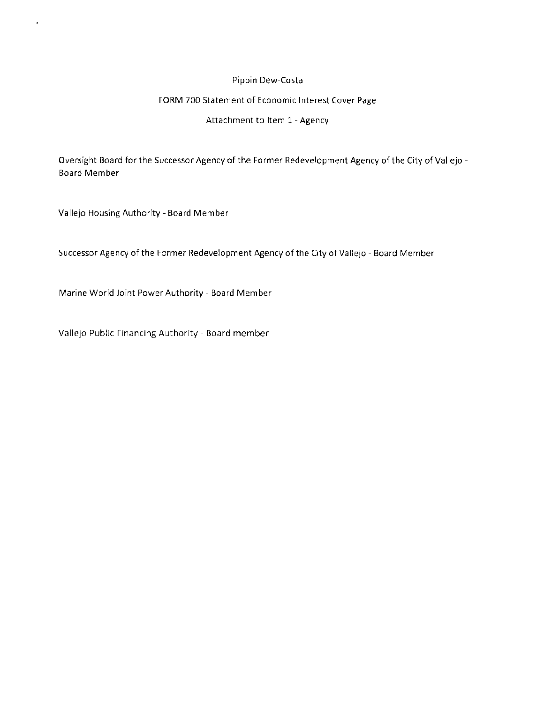#### Pippin Dew-Costa

#### FORM 700 Statement of Economic Interest Cover Page

#### Attachment to Item 1 - Agency

Oversight Board for the Successor Agency of the Former Redevelopment Agency of the City of Vallejo - Board Member

Vallejo Housing Authority - Board Member

í.

Successor Agency of the Former Redevelopment Agency of the City of Vallejo - Board Member

Marine World Joint Power Authority - Board Member

Vallejo Public Financing Authority - Board member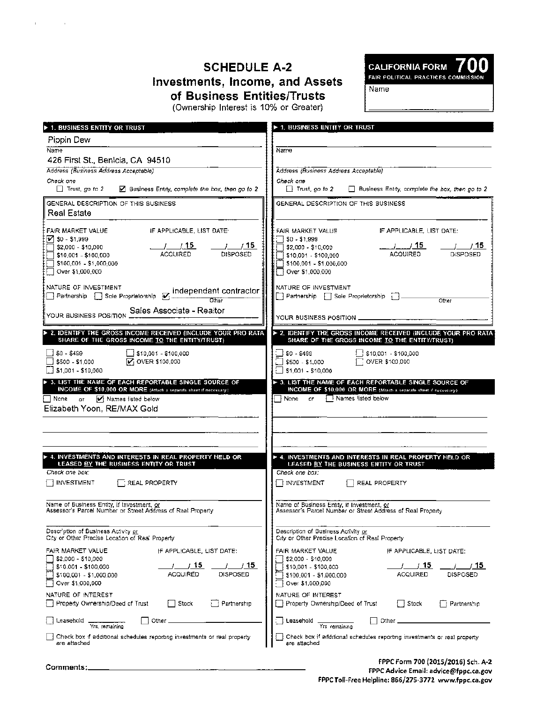# **SCHEDULE A-2 Investments, Income, and Assets of Business Entities/Trusts**

 $\overline{a}$ 

CALIFORNIA FORM 700

Name

| DUSHIGSS LHUUGS/HUSC |  |
|----------------------|--|
|                      |  |

| (Ownership Interest is 10% or Greater) |  |  |  |  |  |
|----------------------------------------|--|--|--|--|--|
|----------------------------------------|--|--|--|--|--|

| 1. BUSINESS ENTITY OR TRUST                                                                                                                                                                                                                 | ▶ 1. BUSINESS ENTITY OR TRUST                                                                                                                                                       |
|---------------------------------------------------------------------------------------------------------------------------------------------------------------------------------------------------------------------------------------------|-------------------------------------------------------------------------------------------------------------------------------------------------------------------------------------|
| Pippin Dew                                                                                                                                                                                                                                  |                                                                                                                                                                                     |
| Name                                                                                                                                                                                                                                        | Name                                                                                                                                                                                |
| 426 First St., Benicia, CA 94510                                                                                                                                                                                                            |                                                                                                                                                                                     |
| Address (Business Address Acceptable)                                                                                                                                                                                                       | Address (Business Address Acceptable)                                                                                                                                               |
| Check one<br>$\Box$ Trust, go to 2<br>■ Business Entity, complete the box, then go to 2                                                                                                                                                     | Check one<br>$\Box$ Trust, go to 2<br>Business Entity, complete the box, then go to 2                                                                                               |
| GENERAL DESCRIPTION OF THIS BUSINESS<br>Real Estate                                                                                                                                                                                         | GENERAL DESCRIPTION OF THIS BUSINESS                                                                                                                                                |
| FAIR MARKET VALUE<br>IF APPLICABLE, LIST DATE:<br>$\sqrt{50 - 51,999}$<br>__/____/_ <b>15</b><br>ACQUIRED<br>$\frac{1}{\sqrt{15}}$<br>\$2,000 - \$10,000<br>DISPOSED<br>\$10,001 - \$100,000<br>\$100,001 - \$1,000,000<br>Over \$1,000,000 | FAIR MARKET VALUE<br>IF APPLICABLE, LIST DATE:<br>$50 - 51,999$<br>$\sqrt{2,000 - 10,000}$<br>DISPOSED<br>$[$10,001 - $100,000]$<br>[ \$100,001 - \$1,000,000<br>□ Over \$1,000,000 |
| NATURE OF INVESTMENT                                                                                                                                                                                                                        | NATURE OF INVESTMENT<br>Partnership   Sole Proprietorship    <br>Other                                                                                                              |
| Sales Associate - Realtor<br>YOUR BUSINESS POSITION                                                                                                                                                                                         | YOUR BUSINESS POSITION _                                                                                                                                                            |
| 2. IDENTIFY THE GROSS INCOME RECEIVED (INCLUDE YOUR PRO RATA<br>SHARE OF THE GROSS INCOME TO THE ENTITY/TRUST)                                                                                                                              | > 2. IDENTIFY THE GROSS INCOME RECEIVED (INCLUDE YOUR PRO RATA<br>SHARE OF THE GROSS INCOME TO THE ENTITY/TRUST)                                                                    |
| $\Box$ \$10,001 - \$100,000<br>$$0 - $499$<br><b>V</b> : OVER \$100,000<br>\$500 - \$1,000<br>\$1,001 - \$10,000                                                                                                                            | S10,001 - \$100,000<br>$$0 - $499$<br>\$500 - \$1,000<br>\$1,001 - \$10,000                                                                                                         |
| > 3. LIST THE NAME OF EACH REPORTABLE SINGLE SOURCE OF<br>INCOME OF \$10,000 OR MORE (Attach a separate sheet if necessary).<br>Mames listed below<br>⊟ None<br>оr<br>Elizabeth Yoon, RE/MAX Gold                                           | > 3. LIST THE NAME OF EACH REPORTABLE SINGLE SOURCE OF<br>INCOME OF \$10,000 OR MORE (Attach a separate sheet if necessary).<br>Rames listed below<br>None<br>or.                   |
| 4. INVESTMENTS AND INTERESTS IN REAL PROPERTY HELD OR<br>LEASED BY THE BUSINESS ENTITY OR TRUST<br>Check one box:<br><b>INVESTMENT</b><br>$\exists$ REAL PROPERTY                                                                           | ▶ 4. INVESTMENTS AND INTERESTS IN REAL PROPERTY HELD OR<br>LEASED BY THE BUSINESS ENTITY OR TRUST<br>Check one box:<br>I INVESTMENT<br>REAL PROPERTY                                |
|                                                                                                                                                                                                                                             |                                                                                                                                                                                     |
| Name of Business Entity, if Investment, or<br>Assessor's Parcel Number or Street Address of Real Property                                                                                                                                   | Name of Business Entity, if Investment, or<br>Assessor's Parcel Number or Street Address of Real Property                                                                           |
| Description of Business Activity or<br>City or Other Precise Location of Real Property                                                                                                                                                      | Description of Business Activity or<br>City or Other Precise Location of Real Property                                                                                              |
| FAIR MARKET VALUE<br>IF APPLICABLE, LIST DATE:                                                                                                                                                                                              | FAIR MARKET VALUE<br>IF APPLICABLE, LIST DATE:                                                                                                                                      |
| \$2,000 - \$10,000<br>15<br>15<br>$$10.001 - $100.000$<br><b>ACQUIRED</b><br><b>DISPOSED</b><br>\$100,001 - \$1,000,000<br>Over \$1,000,000                                                                                                 | \$2,000 - \$10,000<br>, 15<br>15.<br>\$10,001 - \$100,000<br><b>ACQUIRED</b><br>DISPOSED<br>\$100,001 - \$1,000,000<br>Over \$1,000,000                                             |
| NATURE OF INTEREST<br>Property Ownership/Deed of Trust<br>Partnership<br>Stock                                                                                                                                                              | NATURE OF INTEREST<br>¦ ∣Stock<br>Property Ownership/Deed of Trust<br><b>Partnership</b>                                                                                            |
| Other<br>Leasehold<br>Yrs, remaining                                                                                                                                                                                                        | : Leaschold<br>Other<br>Yrs remaining                                                                                                                                               |
| Check box if additional schedules reporting investments or real property<br>are attached                                                                                                                                                    | Check box if additional schedules reporting investments or real property<br>are attached                                                                                            |
|                                                                                                                                                                                                                                             |                                                                                                                                                                                     |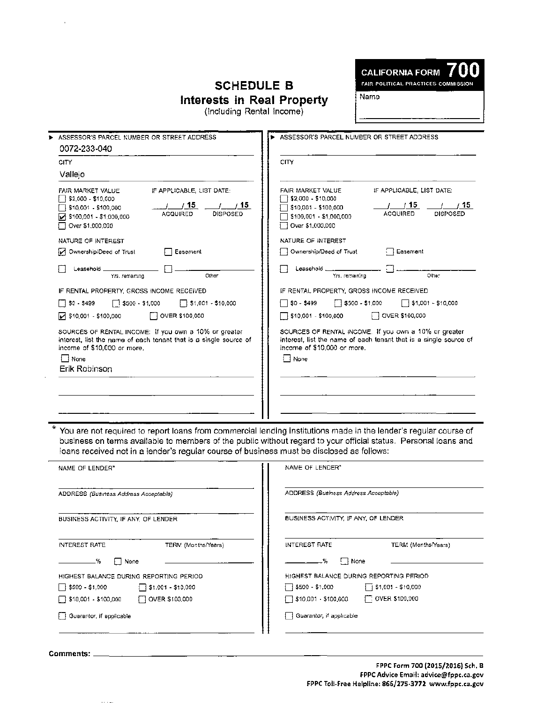# **SCHEDULE B Interests in Real Property**



Name

(Including Rental Income)

| ASSESSOR'S PARCEL NUMBER OR STREET ADDRESS                                                                                                                                                                                          | ASSESSOR'S PARCEL NUMBER OR STREET ADDRESS                                                                                                                                                                                                             |
|-------------------------------------------------------------------------------------------------------------------------------------------------------------------------------------------------------------------------------------|--------------------------------------------------------------------------------------------------------------------------------------------------------------------------------------------------------------------------------------------------------|
| 0072-233-040                                                                                                                                                                                                                        |                                                                                                                                                                                                                                                        |
| <b>CITY</b>                                                                                                                                                                                                                         | CITY                                                                                                                                                                                                                                                   |
| Vallejo                                                                                                                                                                                                                             |                                                                                                                                                                                                                                                        |
| IF APPLICABLE, LIST DATE:<br>FAIR MARKET VALUE<br>[ \$2,000 - \$10,000<br><u>/ 15</u><br>__/____/_ <u>15_</u><br>510.001 - \$100.000<br><b>DISPOSED</b><br><b>ACQUIRED</b><br>$\sqrt{}$ \$100,001 - \$1,000,000<br>Over \$1,000,000 | IF APPLICABLE, LIST DATE:<br>FAIR MARKET VALUE<br>\$2,000 - \$10,000<br>/ 15<br>1/15<br>\$10,001 - \$100,000<br><b>ACQUIRED</b><br><b>DISPOSED</b><br>\$100,001 - \$1,000,000<br>Over \$1,000,000                                                      |
| NATURE OF INTEREST                                                                                                                                                                                                                  | NATURE OF INTEREST                                                                                                                                                                                                                                     |
| M Ownership/Deed of Trust<br>□ Easement                                                                                                                                                                                             | Easement<br>  Ownership/Deed of Trust                                                                                                                                                                                                                  |
| Leasehold .<br>Other<br>Yrs, remaining                                                                                                                                                                                              | Leasehold.<br>Other<br>Yrs. remaining                                                                                                                                                                                                                  |
| IF RENTAL PROPERTY, GROSS INCOME RECEIVED                                                                                                                                                                                           | IF RENTAL PROPERTY, GROSS INCOME RECEIVED                                                                                                                                                                                                              |
| $\Box$ \$0 - \$499<br>$\Box$ \$1,001 - \$10,000<br>$\sqrt{3500 - $1,000}$                                                                                                                                                           | $\Box$ \$0 - \$499<br>$\Box$ \$500 - \$1,000<br>$\Box$ \$1,001 - \$10,000                                                                                                                                                                              |
| $\triangleright$ \$10,001 - \$100,000<br>7 OVER \$100,000                                                                                                                                                                           | OVER \$100,000<br>510,001 - \$100,000                                                                                                                                                                                                                  |
| SOURCES OF RENTAL INCOME: If you own a 10% or greater<br>interest, list the name of each tenant that is a single source of<br>income of \$10,000 or more,<br>None<br>Erik Robinson                                                  | SOURCES OF RENTAL INCOME. If you own a 10% or greater<br>interest, list the name of each tenant that is a single source of<br>income of \$10,000 or more.<br>∏ None                                                                                    |
|                                                                                                                                                                                                                                     |                                                                                                                                                                                                                                                        |
| loans received not in a lender's regular course of business must be disclosed as follows:<br>NAME OF LENDER*                                                                                                                        | You are not required to report loans from commercial lending institutions made in the lender's regular course of<br>business on terms available to members of the public without regard to your official status. Personal loans and<br>NAME OF LENDER* |
| ADDRESS (Business Address Acceptable)                                                                                                                                                                                               | ADDRESS (Business Address Acceptable)                                                                                                                                                                                                                  |
|                                                                                                                                                                                                                                     |                                                                                                                                                                                                                                                        |
| BUSINESS ACTIVITY, IF ANY, OF LENDER                                                                                                                                                                                                | BUSINESS ACTIVITY, IF ANY, OF LENDER                                                                                                                                                                                                                   |
| INTEREST RATE<br>TERM (Months/Years)                                                                                                                                                                                                | INTEREST RATE<br>TERM (Months/Years)                                                                                                                                                                                                                   |
| %.<br>None                                                                                                                                                                                                                          | ۰%<br>!   None                                                                                                                                                                                                                                         |
| HIGHEST BALANCE DURING REPORTING PERIOD                                                                                                                                                                                             | HIGHEST BALANCE DURING REPORTING PERIOD                                                                                                                                                                                                                |
| $\sqrt{3500 - 13000}$<br>∃ \$1.001 - \$10.000                                                                                                                                                                                       | $\Box$ \$500 - \$1,000<br>j i \$1,001 - \$10,000                                                                                                                                                                                                       |

 $\begin{array}{|c|c|c|c|c|c|}\hline \text{ $>$10,001$ } \text{ - $ $100,000$ } \end{array}$  OVER \$100,000  $\begin{array}{|c|c|c|c|c|c|}\hline \text{ $>$10,001$ } \text{ - $ $100,000$ } \end{array}$  OVER \$100,000

 $\Box$  Guarantor, if applicable  $\Box$ 

|  |  | Guarantor, if applicable |  |
|--|--|--------------------------|--|
|--|--|--------------------------|--|

Comments: \_\_\_\_\_\_\_\_\_\_\_\_\_\_\_\_\_\_\_\_\_\_\_\_\_\_\_\_\_\_\_\_\_\_\_\_\_\_\_\_\_\_\_\_ \_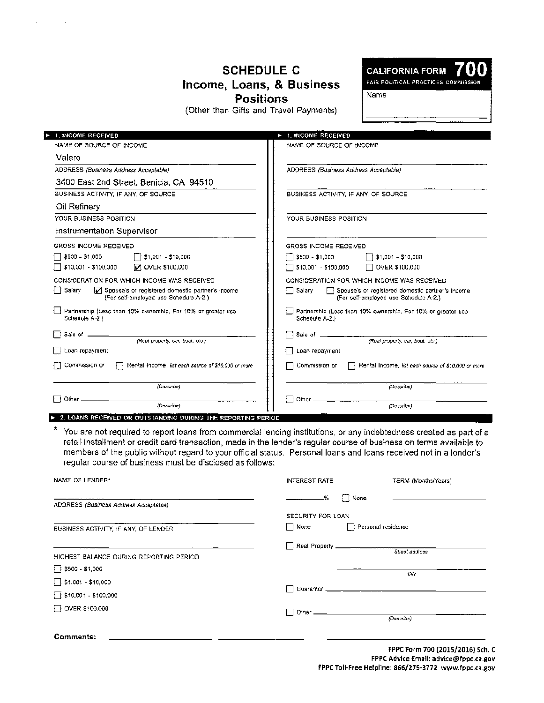### **SCHEDULE C Income, Loans, & Business Positions**

(Other than Gifts and Travel Payments)

**CALIFORNIA FORM** FAIR POLITICAL PRACTICES COMMISSION

Name

| 1. INCOME RECEIVED                                                                                  | 1. INCOME RECEIVED                                                                                    |
|-----------------------------------------------------------------------------------------------------|-------------------------------------------------------------------------------------------------------|
| NAME OF SOURCE OF INCOME                                                                            | NAME OF SOURCE OF INCOME                                                                              |
| Valero                                                                                              |                                                                                                       |
| ADDRESS (Business Address Acceptable)                                                               | ADDRESS (Business Address Acceptable)                                                                 |
| 3400 East 2nd Street, Benicia, CA 94510                                                             |                                                                                                       |
| BUSINESS ACTIVITY. IF ANY, OF SOURCE                                                                | BUSINESS ACTIVITY. IF ANY, OF SOURCE                                                                  |
| Oil Refinery                                                                                        |                                                                                                       |
| YOUR BUSINESS POSITION                                                                              | YOUR BUSINESS POSITION                                                                                |
| Instrumentation Supervisor                                                                          |                                                                                                       |
| GROSS INCOME RECEIVED                                                                               | GROSS INCOME RECEIVED                                                                                 |
| $$500 - $1,000$<br>$51,001 - 510,000$                                                               | $\Box$ \$500 - \$1,000<br>\$1,001 - \$10,000                                                          |
| \$10,001 - \$100,000<br><b>V OVER \$100,000</b>                                                     | $\Box$ \$10,001 - \$100,000<br>OVER \$100,000                                                         |
| CONSIDERATION FOR WHICH INCOME WAS RECEIVED                                                         | CONSIDERATION FOR WHICH INCOME WAS RECEIVED                                                           |
| Salarv<br>Spouse's or registered domestic partner's income<br>(For self-employed use Schedule A-2.) | □ Salary<br>Spouse's or registered domestic partner's income<br>(For self-employed use Schedule A-2.) |
| Partnership (Less than 10% ownership, For 10% or greater use<br>Schedule A-2.)                      | Partnership (Less than 10% ownership. For 10% or greater use<br>Schedule A-2.)                        |
| Sale of _                                                                                           | Sale of __                                                                                            |
| (Real property, car, boat, etc.)                                                                    | (Real property, car, boat, etc.)                                                                      |
| Loan repayment                                                                                      | Loan repayment                                                                                        |
| Commission or<br>Rental Income, list each source of \$10,000 or more                                | Commission or<br>Rental Income, list each source of \$10,000 or more                                  |
| (Describe)                                                                                          | (Describe)                                                                                            |
| Other _<br>(Describe)                                                                               | Other<br>(Describe)                                                                                   |

\* You are not required to report loans from commercial lending institutions, or any indebtedness created as part of a retail installment or credit card transaction, made in the lender's regular course of business on terms available to members of the public without regard to your official status. Personal loans and loans received not in a lender's regular course of business must be disclosed as follows:

| NAME OF LENDER*                         | INTEREST RATE                                 | TERM (Months/Years) |
|-----------------------------------------|-----------------------------------------------|---------------------|
| ADDRESS (Business Address Acceptable)   | $\Box$ None<br>۰%<br>$\overline{\phantom{a}}$ |                     |
|                                         | SECURITY FOR LOAN                             |                     |
| BUSINESS ACTIVITY, IF ANY, OF LENDER    | Mone <b>North</b><br>$\mathbf{I}$             | Personal residence  |
|                                         |                                               |                     |
| HIGHEST BALANCE DURING REPORTING PERIOD |                                               | Street address      |
| $\Box$ \$500 - \$1,000                  |                                               | City                |
| $\Box$ \$1,001 - \$10,000               |                                               |                     |
| $\sqrt{510,001} - $100,000$             |                                               |                     |
| $\Box$ OVER \$100,000                   |                                               |                     |
|                                         |                                               | (Describe)          |
| Comments: ________                      |                                               |                     |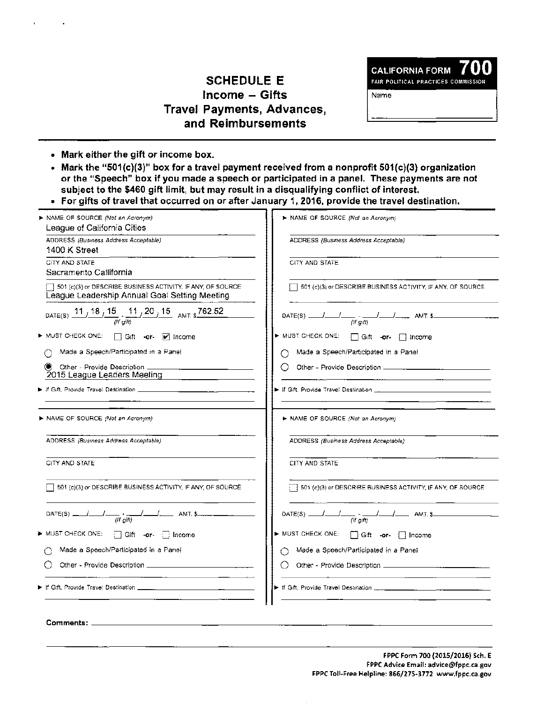## SCHEDULE E Income - Gifts Travel Payments, Advances, and Reimbursements

**CALIFORNIA FORM** FAIR POLITICAL PRACTICES COMMISSION

Name

- Mark either the gift or income box.
- Mark the "501 (c)(3)" box for a travel payment received from a nonprofit 501 (c)(3) organization or the "Speech" box if you made a speech or participated in a panel. These payments are not subject to the \$460 gift limit, but may result in a disqualifying conflict of interest.
- For gifts of travel that occurred on or after January 1, 2016, provide the travel destination.

| > NAME OF SOURCE (Not an Acronym)<br>League of California Cities                                                  | > NAME OF SOURCE (Not an Acronym)                           |
|-------------------------------------------------------------------------------------------------------------------|-------------------------------------------------------------|
| ADDRESS (Business Address Acceptable)<br>1400 K Street                                                            | ADDRESS (Business Address Acceptable)                       |
| CITY AND STATE<br>Sacramento Callifornia                                                                          | CITY AND STATE                                              |
| 501 (c)(3) or DESCRIBE BUSINESS ACTIVITY. IF ANY, OF SOURCE<br>League Leadership Annual Goal Setting Meeting      | 501 (c)(3) or DESCRIBE BUSINESS ACTIVITY, IF ANY, OF SOURCE |
| DATE(S) $\frac{11}{\sqrt{18}}$ $\frac{15}{\sqrt{15}}$ $\frac{11}{\sqrt{20}}$ $\frac{15}{\sqrt{15}}$ AMT: \$762.52 | DATE(S) $\frac{1}{(1+gm)}$ $\frac{1}{(1+gm)}$ AMT. S        |
| ► MUST CHECK ONE:                                                                                                 | ▶ MUST CHECK ONE:<br>Gift -or-   Income                     |
| Made a Speech/Participated in a Panel                                                                             | Made a Speech/Participated in a Panel<br>O                  |
| œ<br>Other - Provide Description _<br>2015 League Leaders Meeting                                                 |                                                             |
|                                                                                                                   |                                                             |
| ▶ NAME OF SOURCE (Not an Acronym)                                                                                 | NAME OF SOURCE (Not an Acronym)                             |
|                                                                                                                   |                                                             |
| ADDRESS (Business Address Acceptable)                                                                             | ADDRESS (Business Address Acceptable)                       |
| CITY AND STATE                                                                                                    | CITY AND STATE                                              |
| 501 (c)(3) or DESCRIBE BUSINESS ACTIVITY, IF ANY, OF SOURCE                                                       | 501 (c)(3) or DESCRIBE BUSINESS ACTIVITY, IF ANY, OF SOURCE |
| $\frac{1}{\sqrt{t}}$ ( <i>t gitt</i> ) $\frac{1}{\sqrt{t}}$ AMT. \$<br>$DATE(S)$ _                                | DATE(S) $\frac{1}{(if girt)} - \frac{1}{(if girt)}$ AMT. \$ |
| MUST CHECK ONE:<br>Gift -or- income                                                                               | ► MUST CHECK ONE:<br>Gift -or-   Income                     |
| Made a Speech/Participated in a Panel                                                                             | Made a Speech/Participated in a Panel                       |
|                                                                                                                   |                                                             |
|                                                                                                                   |                                                             |
| Comments:                                                                                                         |                                                             |

FPPC Form 700 (2015/2016) 5ch. E FPPC Advice Email: advice@fppc.ca.gov FPPC Toll-Free Helpline: 866/275-3772 www.fppc.ca.gov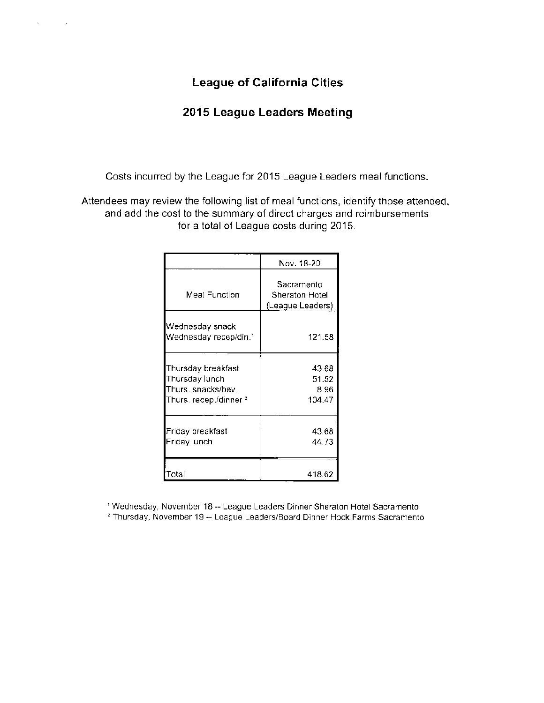## **League of California Cities**

### **2015 League Leaders Meeting**

Costs incurred by the League for 2015 League Leaders meal functions.

Attendees may review the following list of meal functions, identify those attended, and add the cost to the summary of direct charges and reimbursements for a total of League costs during 2015.

|                                                                                                 | Nov. 18-20                                       |
|-------------------------------------------------------------------------------------------------|--------------------------------------------------|
| Meal Function                                                                                   | Sacramento<br>Sheraton Hotel<br>(League Leaders) |
| Wednesday snack<br>Wednesday recep/din. <sup>1</sup>                                            | 121.58                                           |
| Thursday breakfast<br>Thursday lunch<br>Thurs, snacks/bev.<br>Thurs, recep./dinner <del>*</del> | 43.68<br>51.52<br>8.96<br>104.47                 |
| Friday breakfast<br>Friday lunch                                                                | 43.68<br>44.73                                   |
| ⊺otal                                                                                           | 418.62                                           |

<sup>1</sup> Wednesday, November 18 -- League Leaders Dinner Sheraton Hotel Sacramento

<sup>2</sup> Thursday, November 19 -- League Leaders/Board Dinner Hock Farms Sacramento